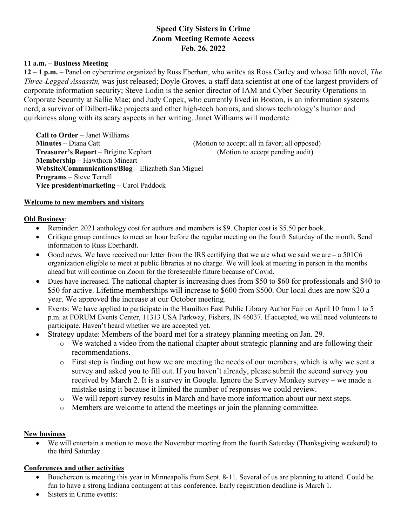# **Speed City Sisters in Crime Zoom Meeting Remote Access Feb. 26, 2022**

#### **11 a.m. – Business Meeting**

**12 – 1 p.m. –** Panel on cybercrime organized by Russ Eberhart, who writes as Ross Carley and whose fifth novel, *The Three-Legged Assassin,* was just released; Doyle Groves, a staff data scientist at one of the largest providers of corporate information security; Steve Lodin is the senior director of IAM and Cyber Security Operations in Corporate Security at Sallie Mae; and Judy Copek, who currently lived in Boston, is an information systems nerd, a survivor of Dilbert-like projects and other high-tech horrors, and shows technology's humor and quirkiness along with its scary aspects in her writing. Janet Williams will moderate.

**Call to Order –** Janet Williams **Minutes** – Diana Catt (Motion to accept; all in favor; all opposed) **Treasurer's Report** – Brigitte Kephart (Motion to accept pending audit) **Membership** – Hawthorn Mineart **Website/Communications/Blog** – Elizabeth San Miguel **Programs** – Steve Terrell **Vice president/marketing** – Carol Paddock

### **Welcome to new members and visitors**

#### **Old Business**:

- Reminder: 2021 anthology cost for authors and members is \$9. Chapter cost is \$5.50 per book.
- Critique group continues to meet an hour before the regular meeting on the fourth Saturday of the month. Send information to Russ Eberhardt.
- Good news. We have received our letter from the IRS certifying that we are what we said we are  $-$  a 501C6 organization eligible to meet at public libraries at no charge. We will look at meeting in person in the months ahead but will continue on Zoom for the foreseeable future because of Covid.
- Dues have increased. The national chapter is increasing dues from \$50 to \$60 for professionals and \$40 to \$50 for active. Lifetime memberships will increase to \$600 from \$500. Our local dues are now \$20 a year. We approved the increase at our October meeting.
- Events: We have applied to participate in the Hamilton East Public Library Author Fair on April 10 from 1 to 5 p.m. at FORUM Events Center, 11313 USA Parkway, Fishers, IN 46037. If accepted, we will need volunteers to participate. Haven't heard whether we are accepted yet.
- Strategy update: Members of the board met for a strategy planning meeting on Jan. 29.
	- o We watched a video from the national chapter about strategic planning and are following their recommendations.
	- o First step is finding out how we are meeting the needs of our members, which is why we sent a survey and asked you to fill out. If you haven't already, please submit the second survey you received by March 2. It is a survey in Google. Ignore the Survey Monkey survey – we made a mistake using it because it limited the number of responses we could review.
	- o We will report survey results in March and have more information about our next steps.
	- o Members are welcome to attend the meetings or join the planning committee.

#### **New business**

• We will entertain a motion to move the November meeting from the fourth Saturday (Thanksgiving weekend) to the third Saturday.

#### **Conferences and other activities**

- Bouchercon is meeting this year in Minneapolis from Sept. 8-11. Several of us are planning to attend. Could be fun to have a strong Indiana contingent at this conference. Early registration deadline is March 1.
- Sisters in Crime events: